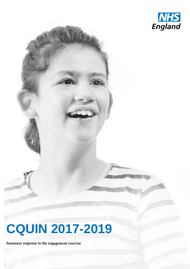

## **CQUIN 2017-2019**

Summary response to the engagement exercise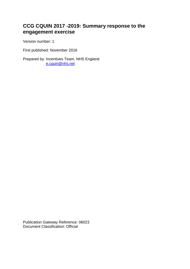## **CCG CQUIN 2017 -2019: Summary response to the engagement exercise**

Version number: 1

First published: November 2016

Prepared by: Incentives Team, NHS England [e.cquin@nhs.net](mailto:e.cquin@nhs.net)

Publication Gateway Reference: 06023 Document Classification: Official